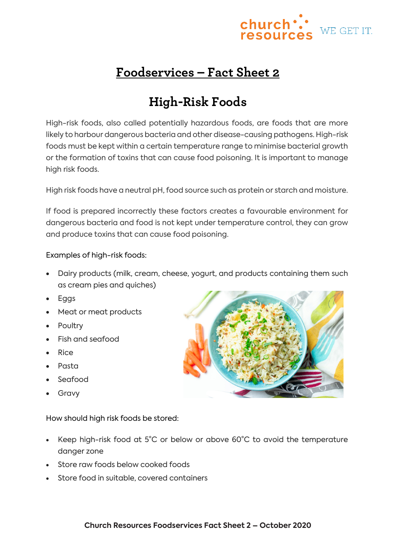

## **Foodservices – Fact Sheet 2**

## **High-Risk Foods**

High-risk foods, also called potentially hazardous foods, are foods that are more likely to harbour dangerous bacteria and other disease-causing pathogens. High-risk foods must be kept within a certain temperature range to minimise bacterial growth or the formation of toxins that can cause food poisoning. It is important to manage high risk foods.

High risk foods have a neutral pH, food source such as protein or starch and moisture.

If food is prepared incorrectly these factors creates a favourable environment for dangerous bacteria and food is not kept under temperature control, they can grow and produce toxins that can cause food poisoning.

## Examples of high-risk foods:

- Dairy products (milk, cream, cheese, yogurt, and products containing them such as cream pies and quiches)
- Eggs
- Meat or meat products
- Poultry
- Fish and seafood
- Rice
- Pasta
- Seafood
- Gravy

How should high risk foods be stored:

- Keep high-risk food at 5°C or below or above 60°C to avoid the temperature danger zone
- Store raw foods below cooked foods
- Store food in suitable, covered containers